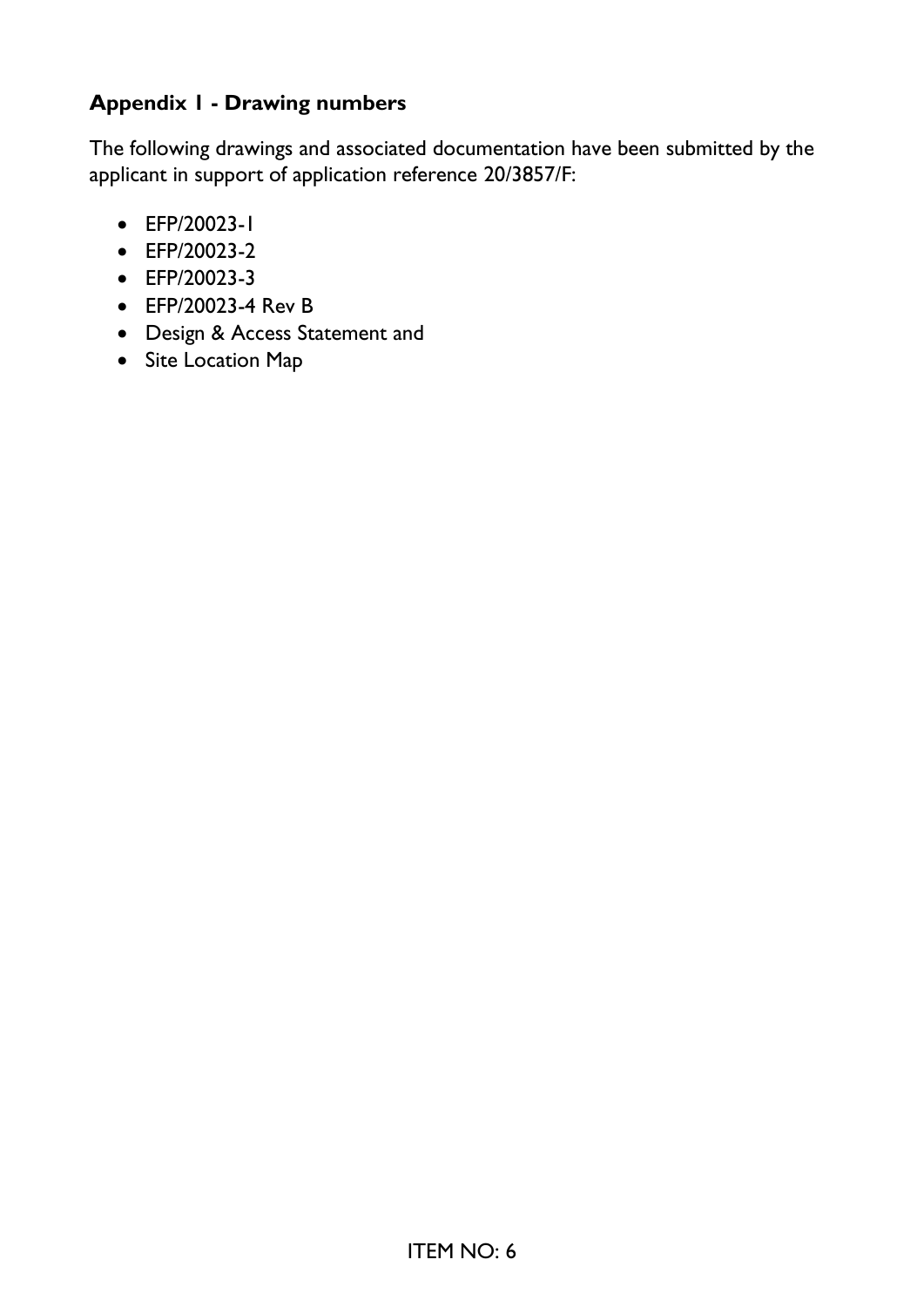## **Appendix 1 - Drawing numbers**

The following drawings and associated documentation have been submitted by the applicant in support of application reference 20/3857/F:

- EFP/20023-1
- EFP/20023-2
- EFP/20023-3
- EFP/20023-4 Rev B
- Design & Access Statement and
- Site Location Map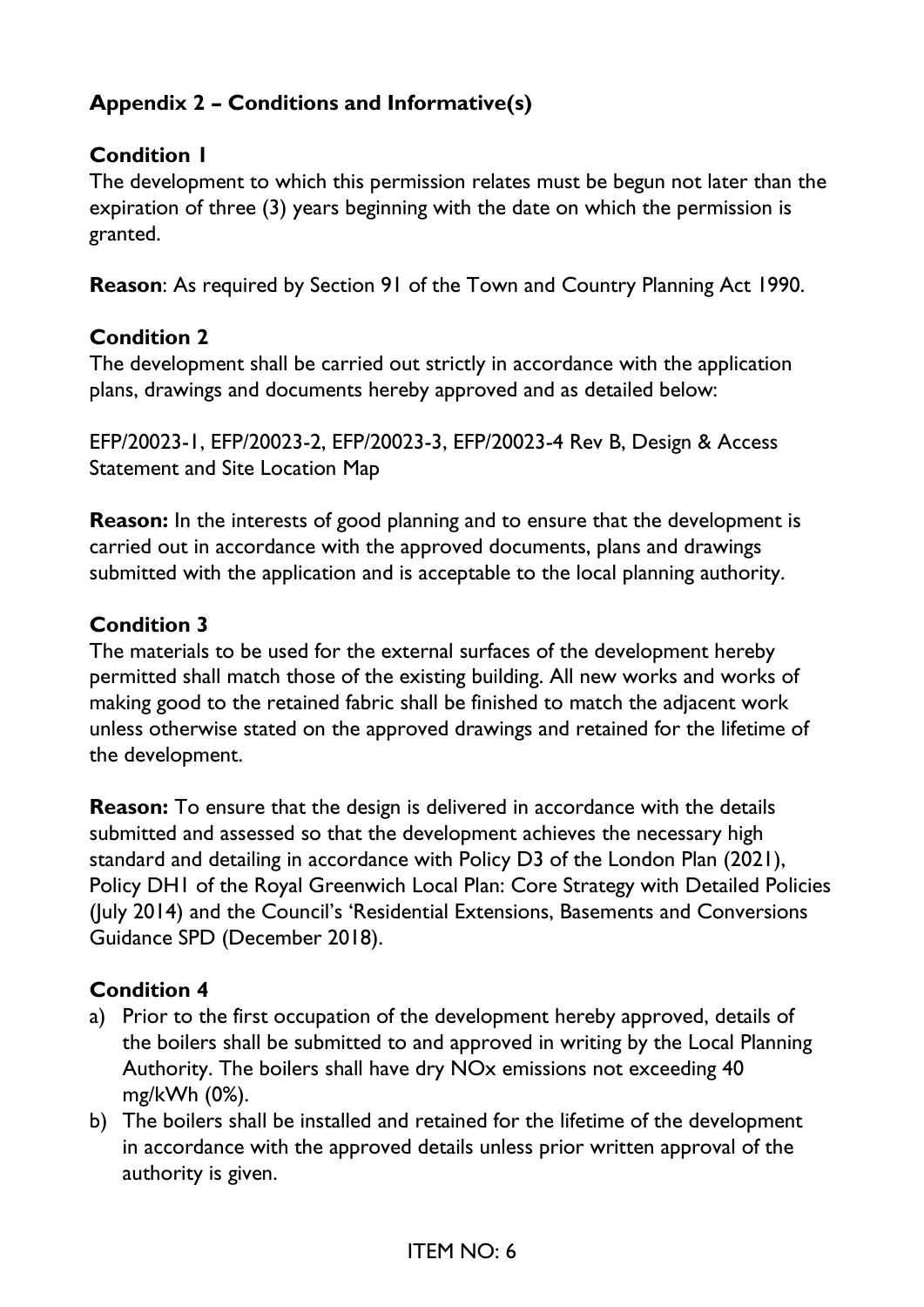# **Appendix 2 – Conditions and Informative(s)**

### **Condition 1**

The development to which this permission relates must be begun not later than the expiration of three (3) years beginning with the date on which the permission is granted.

**Reason**: As required by Section 91 of the Town and Country Planning Act 1990.

### **Condition 2**

The development shall be carried out strictly in accordance with the application plans, drawings and documents hereby approved and as detailed below:

EFP/20023-1, EFP/20023-2, EFP/20023-3, EFP/20023-4 Rev B, Design & Access Statement and Site Location Map

**Reason:** In the interests of good planning and to ensure that the development is carried out in accordance with the approved documents, plans and drawings submitted with the application and is acceptable to the local planning authority.

### **Condition 3**

The materials to be used for the external surfaces of the development hereby permitted shall match those of the existing building. All new works and works of making good to the retained fabric shall be finished to match the adjacent work unless otherwise stated on the approved drawings and retained for the lifetime of the development.

**Reason:** To ensure that the design is delivered in accordance with the details submitted and assessed so that the development achieves the necessary high standard and detailing in accordance with Policy D3 of the London Plan (2021), Policy DH1 of the Royal Greenwich Local Plan: Core Strategy with Detailed Policies (July 2014) and the Council's 'Residential Extensions, Basements and Conversions Guidance SPD (December 2018).

### **Condition 4**

- a) Prior to the first occupation of the development hereby approved, details of the boilers shall be submitted to and approved in writing by the Local Planning Authority. The boilers shall have dry NOx emissions not exceeding 40 mg/kWh (0%).
- b) The boilers shall be installed and retained for the lifetime of the development in accordance with the approved details unless prior written approval of the authority is given.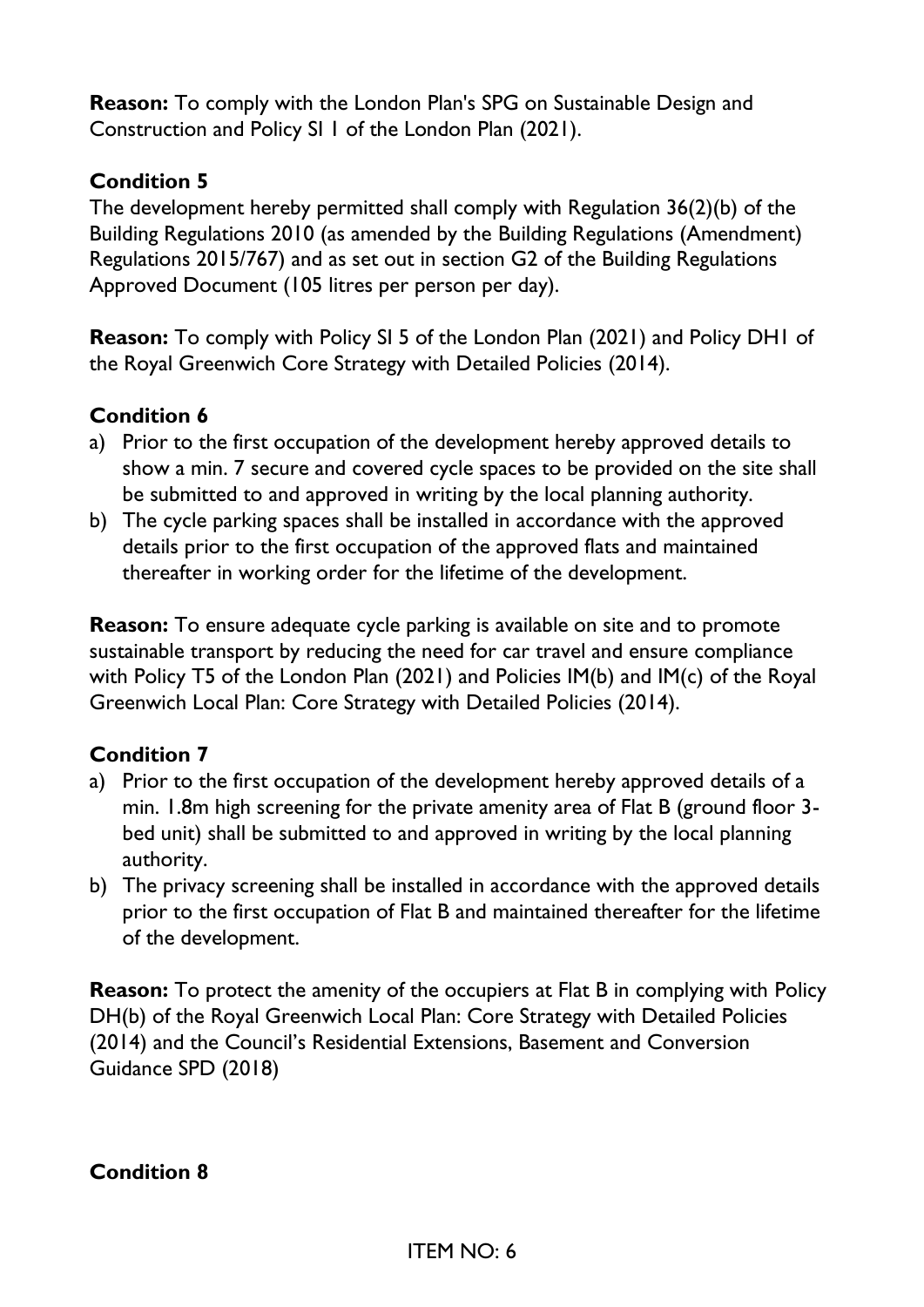**Reason:** To comply with the London Plan's SPG on Sustainable Design and Construction and Policy SI 1 of the London Plan (2021).

### **Condition 5**

The development hereby permitted shall comply with Regulation 36(2)(b) of the Building Regulations 2010 (as amended by the Building Regulations (Amendment) Regulations 2015/767) and as set out in section G2 of the Building Regulations Approved Document (105 litres per person per day).

**Reason:** To comply with Policy SI 5 of the London Plan (2021) and Policy DH1 of the Royal Greenwich Core Strategy with Detailed Policies (2014).

### **Condition 6**

- a) Prior to the first occupation of the development hereby approved details to show a min. 7 secure and covered cycle spaces to be provided on the site shall be submitted to and approved in writing by the local planning authority.
- b) The cycle parking spaces shall be installed in accordance with the approved details prior to the first occupation of the approved flats and maintained thereafter in working order for the lifetime of the development.

**Reason:** To ensure adequate cycle parking is available on site and to promote sustainable transport by reducing the need for car travel and ensure compliance with Policy T5 of the London Plan (2021) and Policies IM(b) and IM(c) of the Royal Greenwich Local Plan: Core Strategy with Detailed Policies (2014).

## **Condition 7**

- a) Prior to the first occupation of the development hereby approved details of a min. 1.8m high screening for the private amenity area of Flat B (ground floor 3 bed unit) shall be submitted to and approved in writing by the local planning authority.
- b) The privacy screening shall be installed in accordance with the approved details prior to the first occupation of Flat B and maintained thereafter for the lifetime of the development.

**Reason:** To protect the amenity of the occupiers at Flat B in complying with Policy DH(b) of the Royal Greenwich Local Plan: Core Strategy with Detailed Policies (2014) and the Council's Residential Extensions, Basement and Conversion Guidance SPD (2018)

**Condition 8**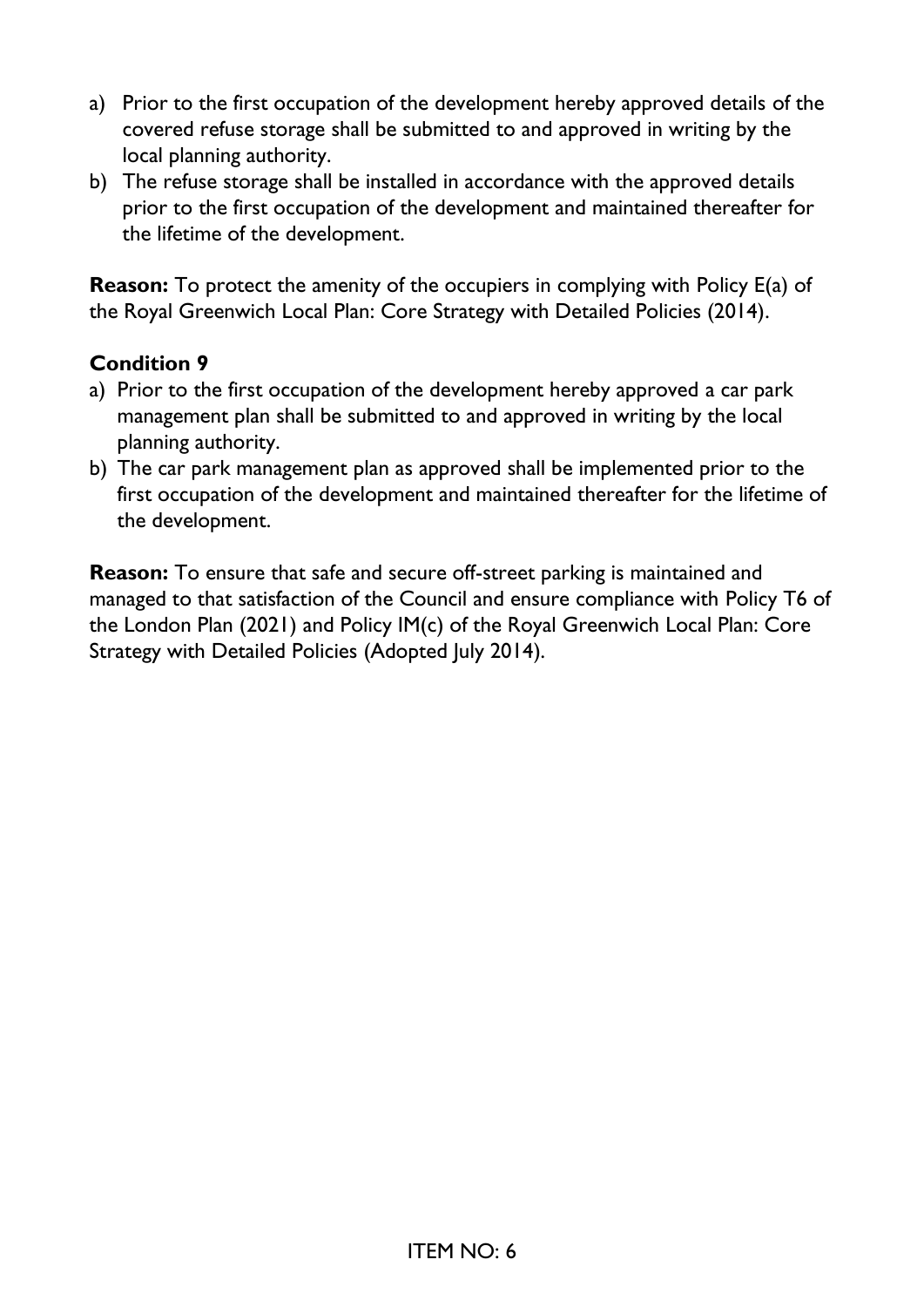- a) Prior to the first occupation of the development hereby approved details of the covered refuse storage shall be submitted to and approved in writing by the local planning authority.
- b) The refuse storage shall be installed in accordance with the approved details prior to the first occupation of the development and maintained thereafter for the lifetime of the development.

**Reason:** To protect the amenity of the occupiers in complying with Policy E(a) of the Royal Greenwich Local Plan: Core Strategy with Detailed Policies (2014).

#### **Condition 9**

- a) Prior to the first occupation of the development hereby approved a car park management plan shall be submitted to and approved in writing by the local planning authority.
- b) The car park management plan as approved shall be implemented prior to the first occupation of the development and maintained thereafter for the lifetime of the development.

**Reason:** To ensure that safe and secure off-street parking is maintained and managed to that satisfaction of the Council and ensure compliance with Policy T6 of the London Plan (2021) and Policy IM(c) of the Royal Greenwich Local Plan: Core Strategy with Detailed Policies (Adopted July 2014).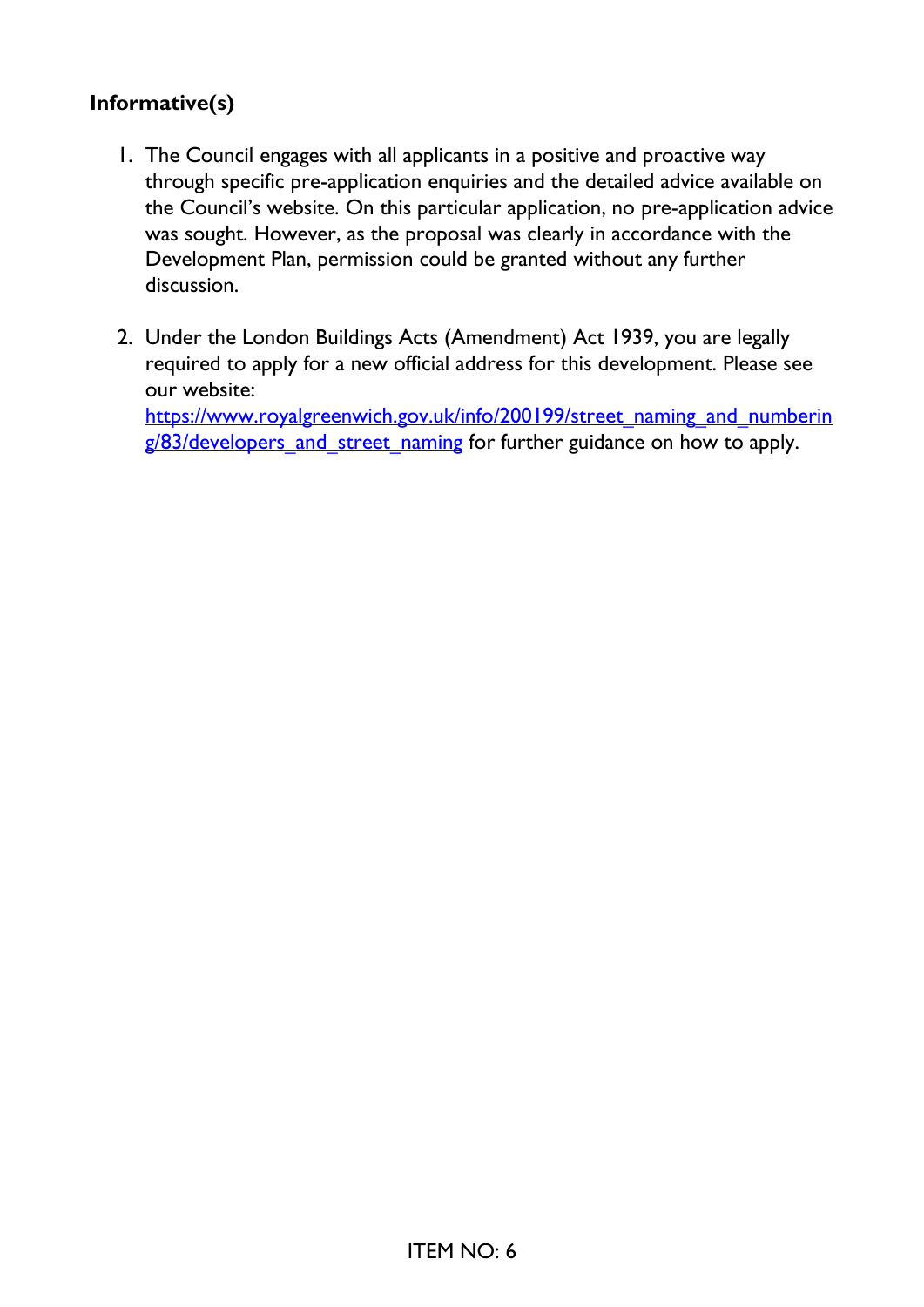### **Informative(s)**

- 1. The Council engages with all applicants in a positive and proactive way through specific pre-application enquiries and the detailed advice available on the Council's website. On this particular application, no pre-application advice was sought. However, as the proposal was clearly in accordance with the Development Plan, permission could be granted without any further discussion.
- 2. Under the London Buildings Acts (Amendment) Act 1939, you are legally required to apply for a new official address for this development. Please see our website: [https://www.royalgreenwich.gov.uk/info/200199/street\\_naming\\_and\\_numberin](https://eur01.safelinks.protection.outlook.com/?url=https%3A%2F%2Fwww.royalgreenwich.gov.uk%2Finfo%2F200199%2Fstreet_naming_and_numbering%2F83%2Fdevelopers_and_street_naming&data=04%7C01%7CAaron.Lau%40royalgreenwich.gov.uk%7Ccccba3efa6e24d56b35408d95a4ad535%7Ce632f2633f464111aa5cd54126f95105%7C1%7C0%7C637640099705203243%7CUnknown%7CTWFpbGZsb3d8eyJWIjoiMC4wLjAwMDAiLCJQIjoiV2luMzIiLCJBTiI6Ik1haWwiLCJXVCI6Mn0%3D%7C1000&sdata=XFDqQkjhFsPmHKXFYvszrpBK7KSd0JBxJ3imHWz%2Bm1Y%3D&reserved=0)

g/83/developers and street naming for further guidance on how to apply.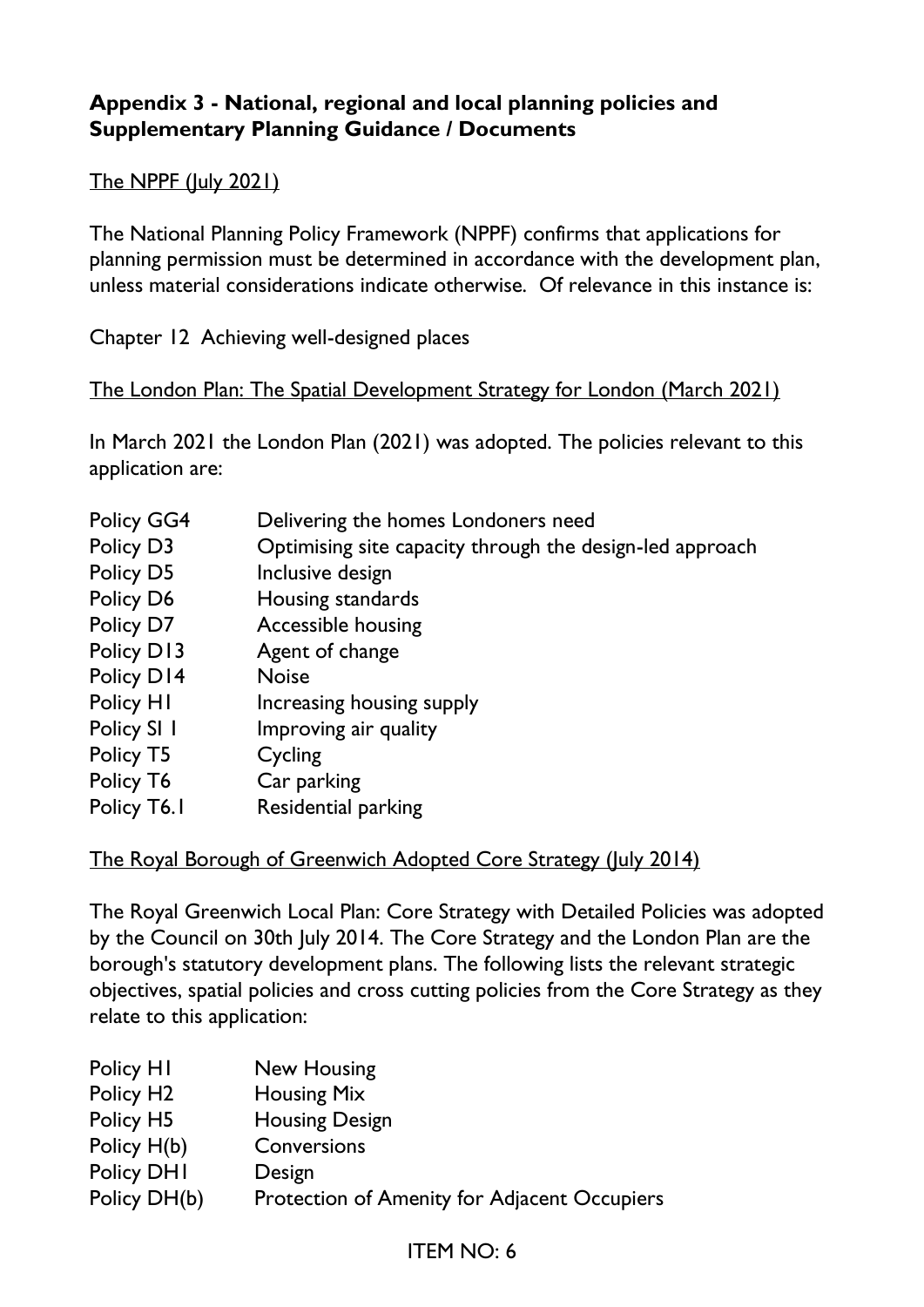### **Appendix 3 - National, regional and local planning policies and Supplementary Planning Guidance / Documents**

### The NPPF (July 2021)

The National Planning Policy Framework (NPPF) confirms that applications for planning permission must be determined in accordance with the development plan, unless material considerations indicate otherwise. Of relevance in this instance is:

Chapter 12 Achieving well-designed places

#### The London Plan: The Spatial Development Strategy for London (March 2021)

In March 2021 the London Plan (2021) was adopted. The policies relevant to this application are:

| Policy GG4  | Delivering the homes Londoners need                      |
|-------------|----------------------------------------------------------|
| Policy D3   | Optimising site capacity through the design-led approach |
| Policy D5   | Inclusive design                                         |
| Policy D6   | Housing standards                                        |
| Policy D7   | Accessible housing                                       |
| Policy D13  | Agent of change                                          |
| Policy D14  | <b>Noise</b>                                             |
| Policy HI   | Increasing housing supply                                |
| Policy SI I | Improving air quality                                    |
| Policy T5   | Cycling                                                  |
| Policy T6   | Car parking                                              |
| Policy T6.1 | Residential parking                                      |

The Royal Borough of Greenwich Adopted Core Strategy (July 2014)

The Royal Greenwich Local Plan: Core Strategy with Detailed Policies was adopted by the Council on 30th July 2014. The Core Strategy and the London Plan are the borough's statutory development plans. The following lists the relevant strategic objectives, spatial policies and cross cutting policies from the Core Strategy as they relate to this application:

| Policy H1             | New Housing                                  |
|-----------------------|----------------------------------------------|
| Policy H <sub>2</sub> | <b>Housing Mix</b>                           |
| Policy H5             | <b>Housing Design</b>                        |
| Policy H(b)           | Conversions                                  |
| Policy DHI            | Design                                       |
| Policy DH(b)          | Protection of Amenity for Adjacent Occupiers |

## ITEM NO: 6